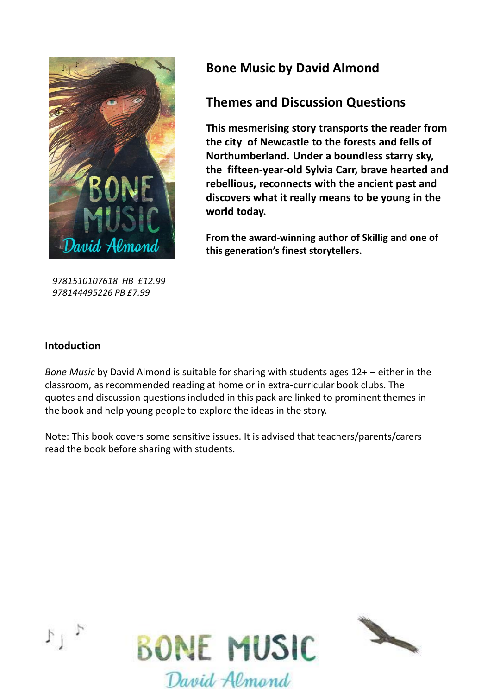

*9781510107618 HB £12.99 978144495226 PB £7.99* 

# **Bone Music by David Almond**

## **Themes and Discussion Questions**

**This mesmerising story transports the reader from the city of Newcastle to the forests and fells of Northumberland. Under a boundless starry sky, the fifteen-year-old Sylvia Carr, brave hearted and rebellious, reconnects with the ancient past and discovers what it really means to be young in the world today.**

**From the award-winning author of Skillig and one of this generation's finest storytellers.** 

### **Intoduction**

*Bone Music* by David Almond is suitable for sharing with students ages 12+ – either in the classroom, as recommended reading at home or in extra-curricular book clubs. The quotes and discussion questions included in this pack are linked to prominent themes in the book and help young people to explore the ideas in the story.

Note: This book covers some sensitive issues. It is advised that teachers/parents/carers read the book before sharing with students.



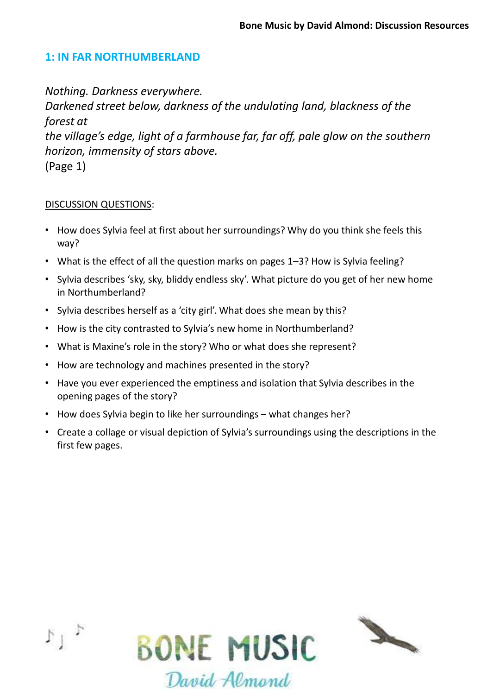### **1: IN FAR NORTHUMBERLAND**

*Nothing. Darkness everywhere. Darkened street below, darkness of the undulating land, blackness of the forest at the village's edge, light of a farmhouse far, far off, pale glow on the southern horizon, immensity of stars above.*  (Page 1)

- How does Sylvia feel at first about her surroundings? Why do you think she feels this way?
- What is the effect of all the question marks on pages 1–3? How is Sylvia feeling?
- Sylvia describes 'sky, sky, bliddy endless sky'. What picture do you get of her new home in Northumberland?
- Sylvia describes herself as a 'city girl'. What does she mean by this?
- How is the city contrasted to Sylvia's new home in Northumberland?
- What is Maxine's role in the story? Who or what does she represent?
- How are technology and machines presented in the story?
- Have you ever experienced the emptiness and isolation that Sylvia describes in the opening pages of the story?
- How does Sylvia begin to like her surroundings what changes her?
- Create a collage or visual depiction of Sylvia's surroundings using the descriptions in the first few pages.



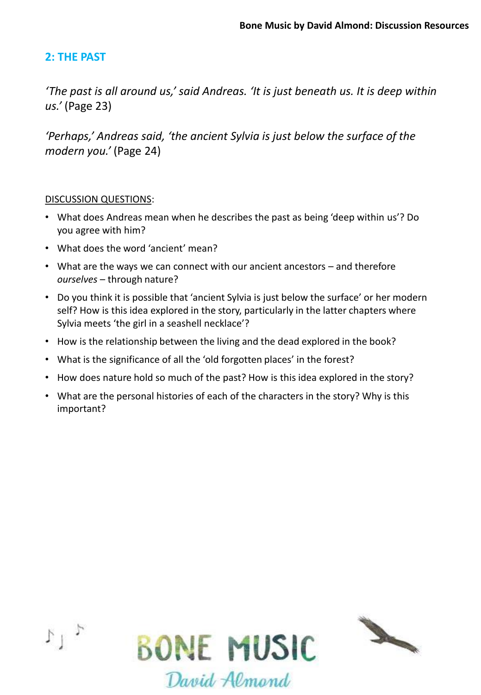### **2: THE PAST**

*'The past is all around us,' said Andreas. 'It is just beneath us. It is deep within us.'* (Page 23)

*'Perhaps,' Andreas said, 'the ancient Sylvia is just below the surface of the modern you.'* (Page 24)

- What does Andreas mean when he describes the past as being 'deep within us'? Do you agree with him?
- What does the word 'ancient' mean?
- What are the ways we can connect with our ancient ancestors and therefore *ourselves* – through nature?
- Do you think it is possible that 'ancient Sylvia is just below the surface' or her modern self? How is this idea explored in the story, particularly in the latter chapters where Sylvia meets 'the girl in a seashell necklace'?
- How is the relationship between the living and the dead explored in the book?
- What is the significance of all the 'old forgotten places' in the forest?
- How does nature hold so much of the past? How is this idea explored in the story?
- What are the personal histories of each of the characters in the story? Why is this important?



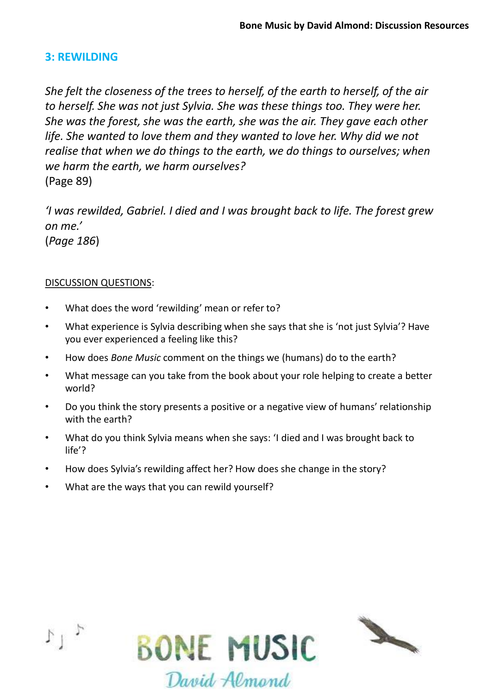### **3: REWILDING**

*She felt the closeness of the trees to herself, of the earth to herself, of the air to herself. She was not just Sylvia. She was these things too. They were her. She was the forest, she was the earth, she was the air. They gave each other life. She wanted to love them and they wanted to love her. Why did we not realise that when we do things to the earth, we do things to ourselves; when we harm the earth, we harm ourselves?*  (Page 89)

*'I was rewilded, Gabriel. I died and I was brought back to life. The forest grew on me.'*  (*Page 186*)

- What does the word 'rewilding' mean or refer to?
- What experience is Sylvia describing when she says that she is 'not just Sylvia'? Have you ever experienced a feeling like this?
- How does *Bone Music* comment on the things we (humans) do to the earth?
- What message can you take from the book about your role helping to create a better world?
- Do you think the story presents a positive or a negative view of humans' relationship with the earth?
- What do you think Sylvia means when she says: 'I died and I was brought back to life'?
- How does Sylvia's rewilding affect her? How does she change in the story?
- What are the ways that you can rewild yourself?



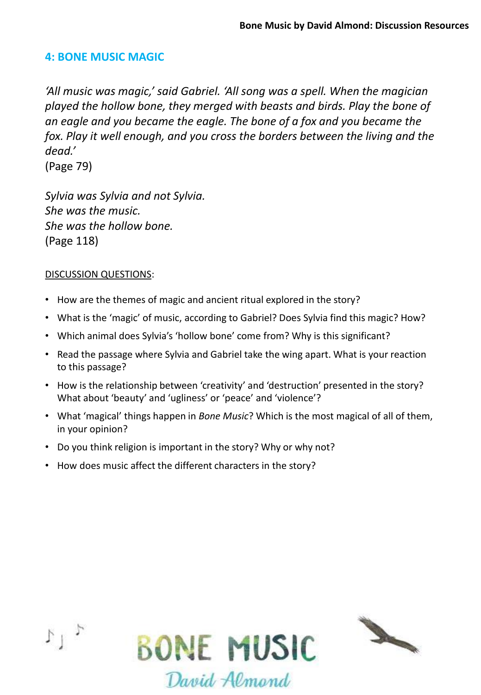### **4: BONE MUSIC MAGIC**

*'All music was magic,' said Gabriel. 'All song was a spell. When the magician played the hollow bone, they merged with beasts and birds. Play the bone of an eagle and you became the eagle. The bone of a fox and you became the*  fox. Play it well enough, and you cross the borders between the living and the *dead.'* 

(Page 79)

*Sylvia was Sylvia and not Sylvia. She was the music. She was the hollow bone.*  (Page 118)

- How are the themes of magic and ancient ritual explored in the story?
- What is the 'magic' of music, according to Gabriel? Does Sylvia find this magic? How?
- Which animal does Sylvia's 'hollow bone' come from? Why is this significant?
- Read the passage where Sylvia and Gabriel take the wing apart. What is your reaction to this passage?
- How is the relationship between 'creativity' and 'destruction' presented in the story? What about 'beauty' and 'ugliness' or 'peace' and 'violence'?
- What 'magical' things happen in *Bone Music*? Which is the most magical of all of them, in your opinion?
- Do you think religion is important in the story? Why or why not?
- How does music affect the different characters in the story?